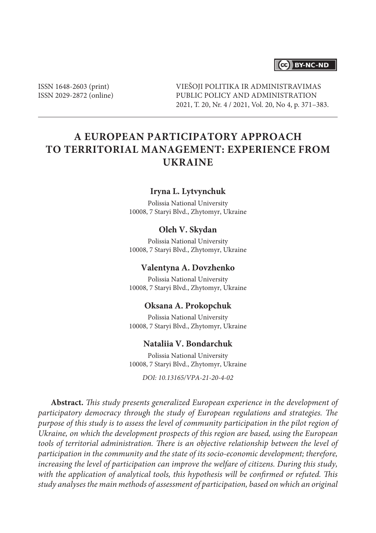### (cc) BY-NC-ND

ISSN 1648-2603 (print) ISSN 2029-2872 (online) VIEŠOJI POLITIKA IR ADMINISTRAVIMAS PUBLIC POLICY AND ADMINISTRATION 2021, T. 20, Nr. 4 / 2021, Vol. 20, No 4, p. 371–383.

# **A European Participatory Approach to Territorial Management: Experience from Ukraine**

#### **Iryna L. Lytvynchuk**

Polissia National University 10008, 7 Staryi Blvd., Zhytomyr, Ukraine

#### **Oleh V. Skydan**

Polissia National University 10008, 7 Staryi Blvd., Zhytomyr, Ukraine

#### **Valentyna A. Dovzhenko**

Polissia National University 10008, 7 Staryi Blvd., Zhytomyr, Ukraine

#### **Oksana A. Prokopchuk**

Polissia National University 10008, 7 Staryi Blvd., Zhytomyr, Ukraine

#### **Nataliia V. Bondarchuk**

Polissia National University 10008, 7 Staryi Blvd., Zhytomyr, Ukraine

*DOI: 10.13165/VPA-21-20-4-02*

**Abstract.** *This study presents generalized European experience in the development of participatory democracy through the study of European regulations and strategies. The purpose of this study is to assess the level of community participation in the pilot region of Ukraine, on which the development prospects of this region are based, using the European tools of territorial administration. There is an objective relationship between the level of participation in the community and the state of its socio-economic development; therefore, increasing the level of participation can improve the welfare of citizens. During this study, with the application of analytical tools, this hypothesis will be confirmed or refuted. This study analyses the main methods of assessment of participation, based on which an original*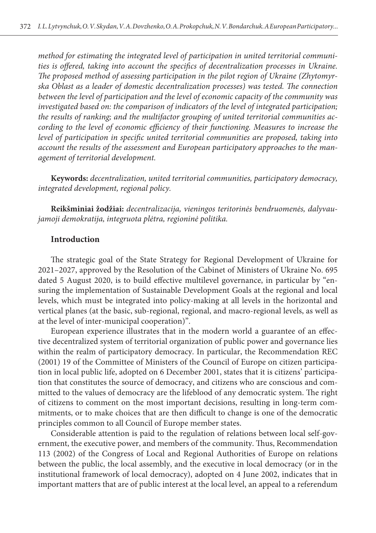*method for estimating the integrated level of participation in united territorial communities is offered, taking into account the specifics of decentralization processes in Ukraine. The proposed method of assessing participation in the pilot region of Ukraine (Zhytomyrska Oblast as a leader of domestic decentralization processes) was tested. The connection between the level of participation and the level of economic capacity of the community was investigated based on: the comparison of indicators of the level of integrated participation; the results of ranking; and the multifactor grouping of united territorial communities according to the level of economic efficiency of their functioning. Measures to increase the*  level of participation in specific united territorial communities are proposed, taking into *account the results of the assessment and European participatory approaches to the management of territorial development.*

**Keywords:** *decentralization, united territorial communities, participatory democracy, integrated development, regional policy.*

**Reikšminiai žodžiai:** *decentralizacija, vieningos teritorinės bendruomenės, dalyvaujamoji demokratija, integruota plėtra, regioninė politika.*

#### **Introduction**

The strategic goal of the State Strategy for Regional Development of Ukraine for 2021–2027, approved by the Resolution of the Cabinet of Ministers of Ukraine No. 695 dated 5 August 2020, is to build effective multilevel governance, in particular by "ensuring the implementation of Sustainable Development Goals at the regional and local levels, which must be integrated into policy-making at all levels in the horizontal and vertical planes (at the basic, sub-regional, regional, and macro-regional levels, as well as at the level of inter-municipal cooperation)".

European experience illustrates that in the modern world a guarantee of an effective decentralized system of territorial organization of public power and governance lies within the realm of participatory democracy. In particular, the Recommendation REC (2001) 19 of the Committee of Ministers of the Council of Europe on citizen participation in local public life, adopted on 6 December 2001, states that it is citizens' participation that constitutes the source of democracy, and citizens who are conscious and committed to the values of democracy are the lifeblood of any democratic system. The right of citizens to comment on the most important decisions, resulting in long-term commitments, or to make choices that are then difficult to change is one of the democratic principles common to all Council of Europe member states.

Considerable attention is paid to the regulation of relations between local self-government, the executive power, and members of the community. Thus, Recommendation 113 (2002) of the Congress of Local and Regional Authorities of Europe on relations between the public, the local assembly, and the executive in local democracy (or in the institutional framework of local democracy), adopted on 4 June 2002, indicates that in important matters that are of public interest at the local level, an appeal to a referendum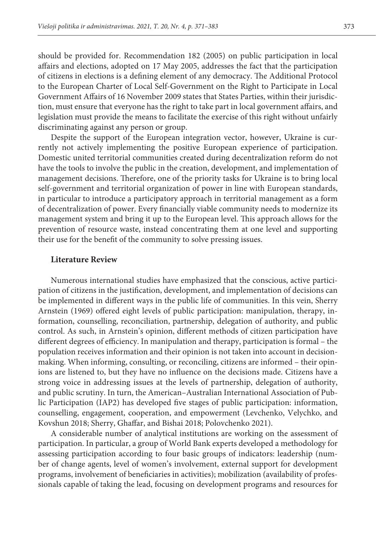should be provided for. Recommendation 182 (2005) on public participation in local affairs and elections, adopted on 17 May 2005, addresses the fact that the participation of citizens in elections is a defining element of any democracy. The Additional Protocol to the European Charter of Local Self-Government on the Right to Participate in Local Government Affairs of 16 November 2009 states that States Parties, within their jurisdiction, must ensure that everyone has the right to take part in local government affairs, and legislation must provide the means to facilitate the exercise of this right without unfairly discriminating against any person or group.

Despite the support of the European integration vector, however, Ukraine is currently not actively implementing the positive European experience of participation. Domestic united territorial communities created during decentralization reform do not have the tools to involve the public in the creation, development, and implementation of management decisions. Therefore, one of the priority tasks for Ukraine is to bring local self-government and territorial organization of power in line with European standards, in particular to introduce a participatory approach in territorial management as a form of decentralization of power. Every financially viable community needs to modernize its management system and bring it up to the European level. This approach allows for the prevention of resource waste, instead concentrating them at one level and supporting their use for the benefit of the community to solve pressing issues.

#### **Literature Review**

Numerous international studies have emphasized that the conscious, active participation of citizens in the justification, development, and implementation of decisions can be implemented in different ways in the public life of communities. In this vein, Sherry Arnstein (1969) offered eight levels of public participation: manipulation, therapy, information, counselling, reconciliation, partnership, delegation of authority, and public control. As such, in Arnstein's opinion, different methods of citizen participation have different degrees of efficiency. In manipulation and therapy, participation is formal – the population receives information and their opinion is not taken into account in decisionmaking. When informing, consulting, or reconciling, citizens are informed – their opinions are listened to, but they have no influence on the decisions made. Citizens have a strong voice in addressing issues at the levels of partnership, delegation of authority, and public scrutiny. In turn, the American–Australian International Association of Public Participation (IAP2) has developed five stages of public participation: information, counselling, engagement, cooperation, and empowerment (Levchenko, Velychko, and Kovshun 2018; Sherry, Ghaffar, and Bishai 2018; Polovchenko 2021).

A considerable number of analytical institutions are working on the assessment of participation. In particular, a group of World Bank experts developed a methodology for assessing participation according to four basic groups of indicators: leadership (number of change agents, level of women's involvement, external support for development programs, involvement of beneficiaries in activities); mobilization (availability of professionals capable of taking the lead, focusing on development programs and resources for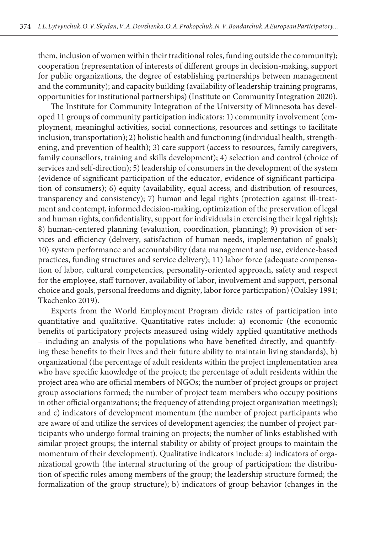them, inclusion of women within their traditional roles, funding outside the community); cooperation (representation of interests of different groups in decision-making, support for public organizations, the degree of establishing partnerships between management and the community); and capacity building (availability of leadership training programs, opportunities for institutional partnerships) (Institute on Community Integration 2020).

The Institute for Community Integration of the University of Minnesota has developed 11 groups of community participation indicators: 1) community involvement (employment, meaningful activities, social connections, resources and settings to facilitate inclusion, transportation); 2) holistic health and functioning (individual health, strengthening, and prevention of health); 3) care support (access to resources, family caregivers, family counsellors, training and skills development); 4) selection and control (choice of services and self-direction); 5) leadership of consumers in the development of the system (evidence of significant participation of the educator, evidence of significant participation of consumers); 6) equity (availability, equal access, and distribution of resources, transparency and consistency); 7) human and legal rights (protection against ill-treatment and contempt, informed decision-making, optimization of the preservation of legal and human rights, confidentiality, support for individuals in exercising their legal rights); 8) human-centered planning (evaluation, coordination, planning); 9) provision of services and efficiency (delivery, satisfaction of human needs, implementation of goals); 10) system performance and accountability (data management and use, evidence-based practices, funding structures and service delivery); 11) labor force (adequate compensation of labor, cultural competencies, personality-oriented approach, safety and respect for the employee, staff turnover, availability of labor, involvement and support, personal choice and goals, personal freedoms and dignity, labor force participation) (Oakley 1991; Tkachenko 2019).

Experts from the World Employment Program divide rates of participation into quantitative and qualitative. Quantitative rates include: a) economic (the economic benefits of participatory projects measured using widely applied quantitative methods – including an analysis of the populations who have benefited directly, and quantifying these benefits to their lives and their future ability to maintain living standards), b) organizational (the percentage of adult residents within the project implementation area who have specific knowledge of the project; the percentage of adult residents within the project area who are official members of NGOs; the number of project groups or project group associations formed; the number of project team members who occupy positions in other official organizations; the frequency of attending project organization meetings); and c) indicators of development momentum (the number of project participants who are aware of and utilize the services of development agencies; the number of project participants who undergo formal training on projects; the number of links established with similar project groups; the internal stability or ability of project groups to maintain the momentum of their development). Qualitative indicators include: a) indicators of organizational growth (the internal structuring of the group of participation; the distribution of specific roles among members of the group; the leadership structure formed; the formalization of the group structure); b) indicators of group behavior (changes in the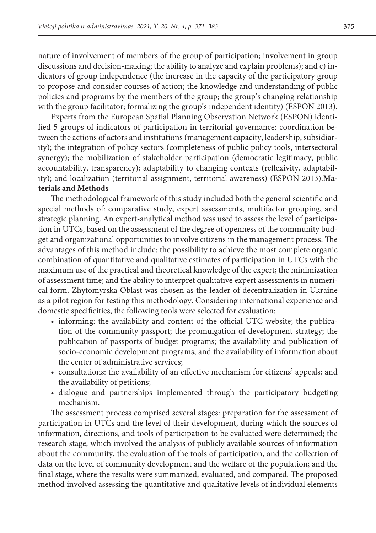nature of involvement of members of the group of participation; involvement in group discussions and decision-making; the ability to analyze and explain problems); and c) indicators of group independence (the increase in the capacity of the participatory group to propose and consider courses of action; the knowledge and understanding of public policies and programs by the members of the group; the group's changing relationship with the group facilitator; formalizing the group's independent identity) (ESPON 2013).

Experts from the European Spatial Planning Observation Network (ESPON) identified 5 groups of indicators of participation in territorial governance: coordination between the actions of actors and institutions (management capacity, leadership, subsidiarity); the integration of policy sectors (completeness of public policy tools, intersectoral synergy); the mobilization of stakeholder participation (democratic legitimacy, public accountability, transparency); adaptability to changing contexts (reflexivity, adaptability); and localization (territorial assignment, territorial awareness) (ESPON 2013).**Ma-**

### **terials and Methods**

The methodological framework of this study included both the general scientific and special methods of: comparative study, expert assessments, multifactor grouping, and strategic planning. An expert-analytical method was used to assess the level of participation in UTCs, based on the assessment of the degree of openness of the community budget and organizational opportunities to involve citizens in the management process. The advantages of this method include: the possibility to achieve the most complete organic combination of quantitative and qualitative estimates of participation in UTCs with the maximum use of the practical and theoretical knowledge of the expert; the minimization of assessment time; and the ability to interpret qualitative expert assessments in numerical form. Zhytomyrska Oblast was chosen as the leader of decentralization in Ukraine as a pilot region for testing this methodology. Considering international experience and domestic specificities, the following tools were selected for evaluation:

- informing: the availability and content of the official UTC website; the publication of the community passport; the promulgation of development strategy; the publication of passports of budget programs; the availability and publication of socio-economic development programs; and the availability of information about the center of administrative services;
- consultations: the availability of an effective mechanism for citizens' appeals; and the availability of petitions;
- dialogue and partnerships implemented through the participatory budgeting mechanism.

The assessment process comprised several stages: preparation for the assessment of participation in UTCs and the level of their development, during which the sources of information, directions, and tools of participation to be evaluated were determined; the research stage, which involved the analysis of publicly available sources of information about the community, the evaluation of the tools of participation, and the collection of data on the level of community development and the welfare of the population; and the final stage, where the results were summarized, evaluated, and compared. The proposed method involved assessing the quantitative and qualitative levels of individual elements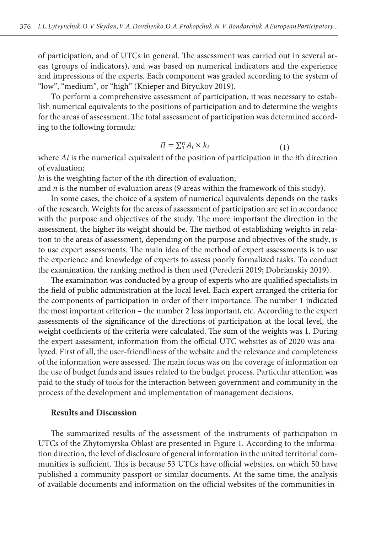$\mathcal{L}_{\mathcal{A}}$  individual elements of participation, and of  $\mathcal{L}_{\mathcal{A}}$  in general. The assessment is general. The assessment is general. The assessment is general. The assessment is general. The assessment is general.

of participation, and of UTCs in general. The assessment was carried out in several areas (groups of indicators), and was based on numerical indicators and the experience and impressions of the experts. Each component was graded according to the system of "low", "medium", or "high" (Knieper and Biryukov 2019).

To perform a comprehensive assessment of participation, it was necessary to establish numerical equivalents to the positions of participation and to determine the weights for the areas of assessment. The total assessment of participation was determined according to the following formula: 2019). The total assessment of participation will bewas determined according to the following formula:

$$
\Pi = \sum_{i=1}^{n} A_i \times k_i \tag{1}
$$

where  $Ai$  is the numerical equivalent of the position of participation in the *i*th direction of evaluation;

*kі* is the weighting factor of the *i*th direction of evaluation; *kі* is the weighting factor of the *i*th direction of evaluation;

and *n* is the number of evaluation areas (9 areas within the framework of this study).

In some cases, the choice of a system of numerical equivalents depends on the tasks of the research. Weights for the areas of assessment of participation are set in accordance with the with the purpose and objectives of the study. The more important the direction in the assessment, the higher its weight should be. The method of establishing weights in relation to the areas of assessment, depending on the purpose and objectives of the study, is to use expert assessments. The main idea of the method of expert assessments is to use the examination, the ranking method is then used (Perederii 2019; Dobrianskiy 2019). of the research. Weights for the areas of assessment of participation are set in accordance the experience and knowledge of experts to assess poorly formalized tasks. To conduct

The examination was conducted by a group of experts who are qualified specialists in the field of public administration at the local level. Each expert arranged the criteria for the most important criterion – the number 2 less important, etc. According to the expert<br>the most important criterion – the number 2 less important, etc. According to the expert assessments of the significance of the directions of participation at the local level, the weight coefficients of the criteria were calculated. The sum of the weights was 1. During lyzed. First of all, the user-friendliness of the website and the relevance and completeness of the information were assessed. The main focus was on the coverage of information on the components of participation in order of their importance. The number 1 indicated the expert assessment, information from the official UTC websites as of 2020 was anathe use of budget funds and issues related to the budget process. Particular attention was paid to the study of tools for the interaction between government and community in the process of the development and implementation of management decisions.

#### **Results and Discussion**

The summarized results of the assessment of the instruments of participation in UTCs of the Zhytomyrska Oblast are presented in Figure 1. According to the information direction, the level of disclosure of general information in the united territorial communities is sufficient. This is because 53 UTCs have official websites, on which 50 have published a community passport or similar documents. At the same time, the analysis of available documents and information on the official websites of the communities in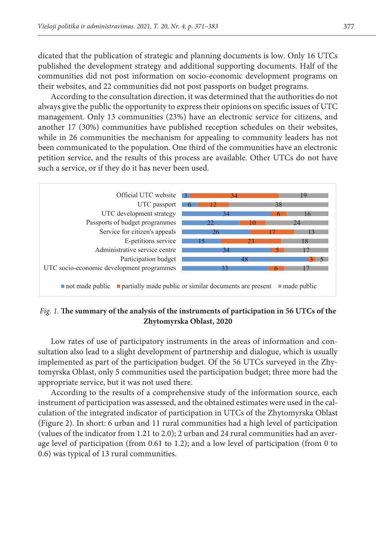dicated that the publication of strategic and planning documents is low. Only 16 UTCs published the development strategy and additional supporting documents. Half of the communities did not post information on socio-economic development programs on their websites, and 22 communities did not post passports on budget programs.

documents. Half of the communities did not positive did not positive did not positive did not positive did not

According to the consultation direction, it was determined that the authorities do not always give the public the opportunity to express their opinions on specific issues of UTC management. Only 13 communities (23%) have an electronic service for citizens, and another 17 (30%) communities have published reception schedules on their websites, while in 26 communities the mechanism for appealing to community leaders has not been communicated to the population. One third of the communities have an electronic periodic periodic periodic petition service, and the results of this process are available. Other UTCs do not have such a service, or if they do it has never been used.



Fig. 1. The summary of the analysis of the instruments of participation in 56 UTCs of the *Oblast, 2020*  **Zhytomyrska Oblast, 2020**

Low rates of use of participatory instruments in the areas of information and consultation also lead to a slight development of partnership and dialogue, which is usually implemented as part of the participation budget. Of the 56 UTCs surveyed in the Zhytomyrska Oblast, only 5 communities used the participation budget; three more had the appropriate service, but it was not used there.

According to the results of a comprehensive study of the information source, each instrument of participation was assessed, and the obtained estimates were used in the calculation of the integrated indicator of participation in UTCs of the Zhytomyrska Oblast (Figure 2). In short: 6 urban and 11 rural communities had a high level of participation (values of the indicator from 1.21 to 2.0); 2 urban and 24 rural communities had an average level of participation (from 0.61 to 1.2); and a low level of participation (from 0 to 0.6) was typical of 13 rural communities.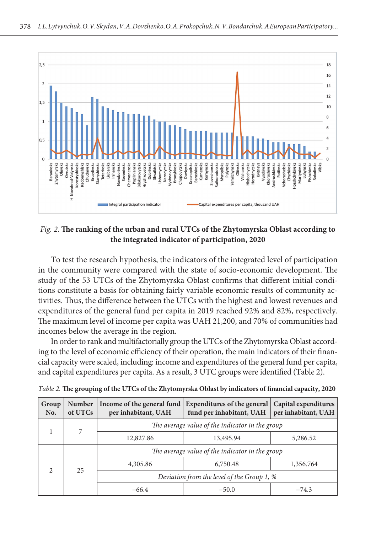

## *participation, 2020 Fig. 2.* **The ranking of the urban and rural UTCs of the Zhytomyrska Oblast according to the integrated indicator of participation, 2020**

in the community were compared with the state of socio-economic development. The study of the 53 UTCs of the Zhytomyrska Oblast confirms that different initial conditions constitute a basis for obtaining fairly variable economic results of community acthe UTCs with the highest and lowest revenues and expenditures of the general fund per capita in 2019 expenditures of the general fund per capita in 2019 reached 92% and 82%, respectively. The maximum level of income per capita was UAH 21,200, and 70% of communities had incomes below the average in the region. To test the research hypothesis, the indicators of the integrated level of participation tivities. Thus, the difference between the UTCs with the highest and lowest revenues and

In order to rank and multifactorially group the UTCs of the Zhytomyrska Oblast according to the level of economic efficiency of their operation, the main indicators of their financial capacity were scaled, including: income and expenditures of the general fund per capita, In order to rank and multifactorially group the UTCs of the Zhytomyrska Oblast accordand capital expenditures per capita. As a result, 3 UTC groups were identified (Table 2).

| Group<br>No.  | Number<br>of UTCs | Income of the general fund<br>per inhabitant, UAH | <b>Expenditures of the general</b><br>fund per inhabitant, UAH | Capital expenditures<br>per inhabitant, UAH |
|---------------|-------------------|---------------------------------------------------|----------------------------------------------------------------|---------------------------------------------|
|               | 7                 | The average value of the indicator in the group   |                                                                |                                             |
|               |                   | 12,827.86                                         | 13,495.94                                                      | 5,286.52                                    |
| $\mathcal{D}$ | 25                | The average value of the indicator in the group   |                                                                |                                             |
|               |                   | 4,305.86                                          | 6,750.48                                                       | 1,356.764                                   |
|               |                   | Deviation from the level of the Group 1, %        |                                                                |                                             |
|               |                   | $-66.4$                                           | $-50.0$                                                        | $-74.3$                                     |

| Table 2. The grouping of the UTCs of the Zhytomyrska Oblast by indicators of financial capacity, 2020 |  |  |
|-------------------------------------------------------------------------------------------------------|--|--|
|                                                                                                       |  |  |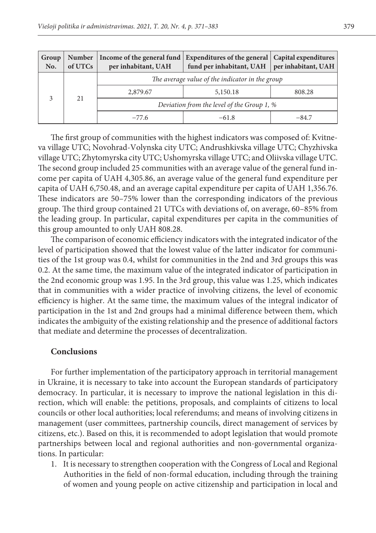| Group<br>No. | <b>Number</b><br>of UTCs | Income of the general fund<br>per inhabitant, UAH | Expenditures of the general   Capital expenditures<br>fund per inhabitant, UAH   per inhabitant, UAH |         |
|--------------|--------------------------|---------------------------------------------------|------------------------------------------------------------------------------------------------------|---------|
|              | 21                       | The average value of the indicator in the group   |                                                                                                      |         |
|              |                          | 2,879.67                                          | 5,150.18                                                                                             | 808.28  |
|              |                          | Deviation from the level of the Group 1, %        |                                                                                                      |         |
|              |                          | $-77.6$                                           | $-61.8$                                                                                              | $-84.7$ |

The first group of communities with the highest indicators was composed of: Kvitneva village UTC; Novohrad-Volynska city UTC; Andrushkivska village UTC; Chyzhivska village UTC; Zhytomyrska city UTC; Ushomyrska village UTC; and Oliivska village UTC. The second group included 25 communities with an average value of the general fund income per capita of UAH 4,305.86, an average value of the general fund expenditure per capita of UAH 6,750.48, and an average capital expenditure per capita of UAH 1,356.76. These indicators are 50–75% lower than the corresponding indicators of the previous group. The third group contained 21 UTCs with deviations of, on average, 60–85% from the leading group. In particular, capital expenditures per capita in the communities of this group amounted to only UAH 808.28.

The comparison of economic efficiency indicators with the integrated indicator of the level of participation showed that the lowest value of the latter indicator for communities of the 1st group was 0.4, whilst for communities in the 2nd and 3rd groups this was 0.2. At the same time, the maximum value of the integrated indicator of participation in the 2nd economic group was 1.95. In the 3rd group, this value was 1.25, which indicates that in communities with a wider practice of involving citizens, the level of economic efficiency is higher. At the same time, the maximum values of the integral indicator of participation in the 1st and 2nd groups had a minimal difference between them, which indicates the ambiguity of the existing relationship and the presence of additional factors that mediate and determine the processes of decentralization.

#### **Conclusions**

For further implementation of the participatory approach in territorial management in Ukraine, it is necessary to take into account the European standards of participatory democracy. In particular, it is necessary to improve the national legislation in this direction, which will enable: the petitions, proposals, and complaints of citizens to local councils or other local authorities; local referendums; and means of involving citizens in management (user committees, partnership councils, direct management of services by citizens, etc.). Based on this, it is recommended to adopt legislation that would promote partnerships between local and regional authorities and non-governmental organizations. In particular:

1. It is necessary to strengthen cooperation with the Congress of Local and Regional Authorities in the field of non-formal education, including through the training of women and young people on active citizenship and participation in local and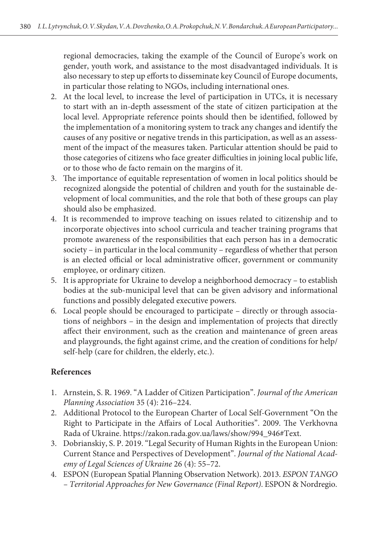regional democracies, taking the example of the Council of Europe's work on gender, youth work, and assistance to the most disadvantaged individuals. It is also necessary to step up efforts to disseminate key Council of Europe documents, in particular those relating to NGOs, including international ones.

- 2. At the local level, to increase the level of participation in UTCs, it is necessary to start with an in-depth assessment of the state of citizen participation at the local level. Appropriate reference points should then be identified, followed by the implementation of a monitoring system to track any changes and identify the causes of any positive or negative trends in this participation, as well as an assessment of the impact of the measures taken. Particular attention should be paid to those categories of citizens who face greater difficulties in joining local public life, or to those who de facto remain on the margins of it.
- 3. The importance of equitable representation of women in local politics should be recognized alongside the potential of children and youth for the sustainable development of local communities, and the role that both of these groups can play should also be emphasized.
- 4. It is recommended to improve teaching on issues related to citizenship and to incorporate objectives into school curricula and teacher training programs that promote awareness of the responsibilities that each person has in a democratic society – in particular in the local community – regardless of whether that person is an elected official or local administrative officer, government or community employee, or ordinary citizen.
- 5. It is appropriate for Ukraine to develop a neighborhood democracy to establish bodies at the sub-municipal level that can be given advisory and informational functions and possibly delegated executive powers.
- 6. Local people should be encouraged to participate directly or through associations of neighbors – in the design and implementation of projects that directly affect their environment, such as the creation and maintenance of green areas and playgrounds, the fight against crime, and the creation of conditions for help/ self-help (care for children, the elderly, etc.).

# **References**

- 1. Arnstein, S. R. 1969. "A Ladder of Citizen Participation". *Journal of the American Planning Association* 35 (4): 216–224.
- 2. Additional Protocol to the European Charter of Local Self-Government "On the Right to Participate in the Affairs of Local Authorities". 2009. The Verkhovna Rada of Ukraine. https://zakon.rada.gov.ua/laws/show/994\_946#Text.
- 3. Dobrianskiy, S. P. 2019. "Legal Security of Human Rights in the European Union: Current Stance and Perspectives of Development". *Journal of the National Academy of Legal Sciences of Ukraine* 26 (4): 55–72.
- 4. ESPON (European Spatial Planning Observation Network). 2013. *ESPON TANGO – Territorial Approaches for New Governance (Final Report)*. ESPON & Nordregio.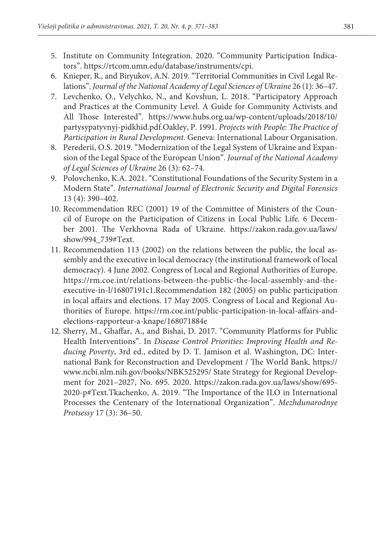- 5. Institute on Community Integration. 2020. "Community Participation Indicators". https://rtcom.umn.edu/database/instruments/cpi.
- 6. Knieper, R., and Biryukov, A.N. 2019. "Territorial Communities in Civil Legal Relations". *Journal of the National Academy of Legal Sciences of Ukraine* 26 (1): 36–47.
- 7. Levchenko, O., Velychko, N., and Kovshun, L. 2018. "Participatory Approach and Practices at the Community Level. A Guide for Community Activists and All Those Interested". https://www.hubs.org.ua/wp-content/uploads/2018/10/ partysypatyvnyj-pidkhid.pdf.Oakley, P. 1991. *Projects with People: The Practice of Participation in Rural Development*. Geneva: International Labour Organisation.
- 8. Perederii, O.S. 2019. "Modernization of the Legal System of Ukraine and Expansion of the Legal Space of the European Union". *Journal of the National Academy of Legal Sciences of Ukraine* 26 (3): 62–74.
- 9. Polovchenko, K.A. 2021. "Constitutional Foundations of the Security System in a Modern State". *International Journal of Electronic Security and Digital Forensics* 13 (4): 390–402.
- 10. Recommendation REC (2001) 19 of the Committee of Ministers of the Council of Europe on the Participation of Citizens in Local Public Life. 6 December 2001. The Verkhovna Rada of Ukraine. https://zakon.rada.gov.ua/laws/ show/994\_739#Text.
- 11. Recommendation 113 (2002) on the relations between the public, the local assembly and the executive in local democracy (the institutional framework of local democracy). 4 June 2002. Congress of Local and Regional Authorities of Europe. https://rm.coe.int/relations-between-the-public-the-local-assembly-and-theexecutive-in-l/16807191c1.Recommendation 182 (2005) on public participation in local affairs and elections. 17 May 2005. Congress of Local and Regional Authorities of Europe. https://rm.coe.int/public-participation-in-local-affairs-andelections-rapporteur-a-knape/168071884e
- 12. Sherry, M., Ghaffar, A., and Bishai, D. 2017. "Community Platforms for Public Health Interventions". In *Disease Control Priorities: Improving Health and Reducing Poverty*, 3rd ed., edited by D. T. Jamison et al. Washington, DC: International Bank for Reconstruction and Development / The World Bank. https:// www.ncbi.nlm.nih.gov/books/NBK525295/ State Strategy for Regional Development for 2021–2027, No. 695. 2020. https://zakon.rada.gov.ua/laws/show/695- 2020-p#Text.Tkachenko, A. 2019. "The Importance of the ILO in International Processes the Centenary of the International Organization". *Mezhdunarodnye Protsessy* 17 (3): 36–50.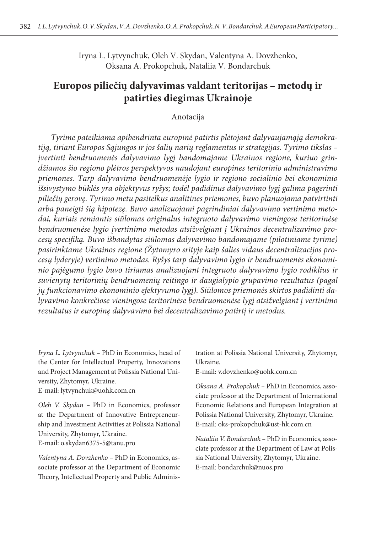Iryna L. Lytvynchuk, Oleh V. Skydan, Valentyna A. Dovzhenko, Oksana A. Prokopchuk, Nataliia V. Bondarchuk

# **Europos piliečių dalyvavimas valdant teritorijas – metodų ir patirties diegimas Ukrainoje**

Anotacija

*Tyrime pateikiama apibendrinta europinė patirtis plėtojant dalyvaujamąją demokratiją, tiriant Europos Sąjungos ir jos šalių narių reglamentus ir strategijas. Tyrimo tikslas – įvertinti bendruomenės dalyvavimo lygį bandomajame Ukrainos regione, kuriuo grindžiamos šio regiono plėtros perspektyvos naudojant europines teritorinio administravimo priemones. Tarp dalyvavimo bendruomenėje lygio ir regiono socialinio bei ekonominio išsivystymo būklės yra objektyvus ryšys; todėl padidinus dalyvavimo lygį galima pagerinti piliečių gerovę. Tyrimo metu pasitelkus analitines priemones, buvo planuojama patvirtinti arba paneigti šią hipotezę. Buvo analizuojami pagrindiniai dalyvavimo vertinimo metodai, kuriais remiantis siūlomas originalus integruoto dalyvavimo vieningose teritorinėse bendruomenėse lygio įvertinimo metodas atsižvelgiant į Ukrainos decentralizavimo procesų specifiką. Buvo išbandytas siūlomas dalyvavimo bandomajame (pilotiniame tyrime) pasirinktame Ukrainos regione (Žytomyro srityje kaip šalies vidaus decentralizacijos procesų lyderyje) vertinimo metodas. Ryšys tarp dalyvavimo lygio ir bendruomenės ekonominio pajėgumo lygio buvo tiriamas analizuojant integruoto dalyvavimo lygio rodiklius ir suvienytų teritorinių bendruomenių reitingo ir daugialypio grupavimo rezultatus (pagal jų funkcionavimo ekonominio efektyvumo lygį). Siūlomos priemonės skirtos padidinti dalyvavimo konkrečiose vieningose teritorinėse bendruomenėse lygį atsižvelgiant į vertinimo rezultatus ir europinę dalyvavimo bei decentralizavimo patirtį ir metodus.*

*Iryna L. Lytvynchuk –* PhD in Economics, head of the Center for Intellectual Property, Innovations and Project Management at Polissia National University, Zhytomyr, Ukraine.

E-mail: lytvynchuk@uohk.com.cn

*Oleh V. Skydan –* PhD in Economics, professor at the Department of Innovative Entrepreneurship and Investment Activities at Polissia National University, Zhytomyr, Ukraine.

E-mail: o.skydan6375-5@tanu.pro

*Valentyna A. Dovzhenko –* PhD in Economics, associate professor at the Department of Economic Theory, Intellectual Property and Public Administration at Polissia National University, Zhytomyr, Ukraine.

E-mail: v.dovzhenko@uohk.com.cn

*Oksana A. Prokopchuk –* PhD in Economics, associate professor at the Department of International Economic Relations and European Integration at Polissia National University, Zhytomyr, Ukraine. E-mail: oks-prokopchuk@ust-hk.com.cn

*Nataliia V. Bondarchuk –* PhD in Economics, associate professor at the Department of Law at Polissia National University, Zhytomyr, Ukraine. E-mail: [bondarchuk@nuos.pro](mailto:bondarchuk@nuos.pro)